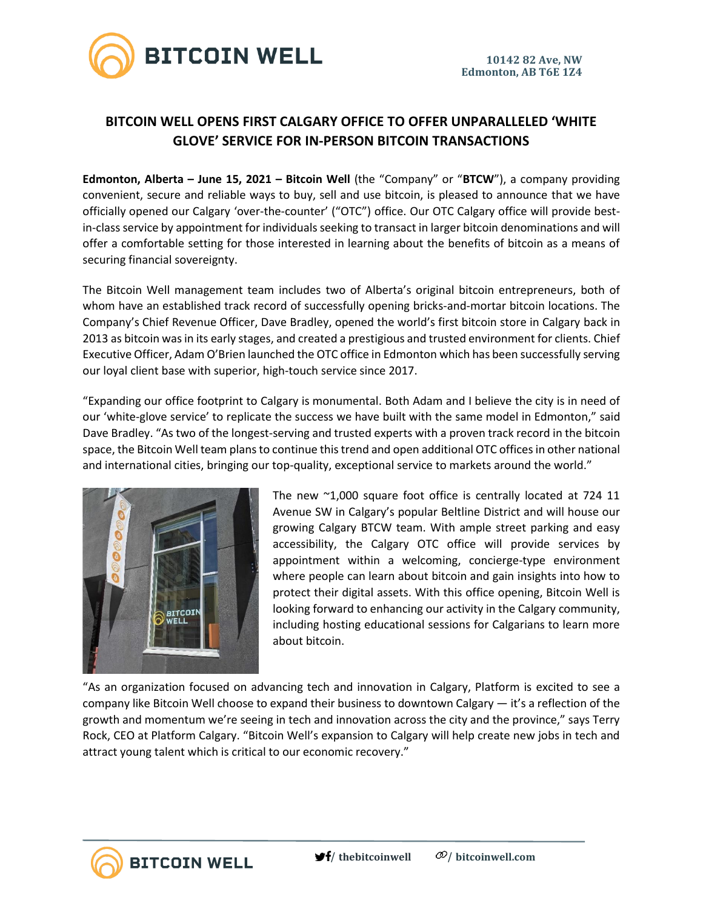

## **BITCOIN WELL OPENS FIRST CALGARY OFFICE TO OFFER UNPARALLELED 'WHITE GLOVE' SERVICE FOR IN-PERSON BITCOIN TRANSACTIONS**

**Edmonton, Alberta – June 15, 2021 – Bitcoin Well** (the "Company" or "**BTCW**"), a company providing convenient, secure and reliable ways to buy, sell and use bitcoin, is pleased to announce that we have officially opened our Calgary 'over-the-counter' ("OTC") office. Our OTC Calgary office will provide bestin-class service by appointment for individuals seeking to transact in larger bitcoin denominations and will offer a comfortable setting for those interested in learning about the benefits of bitcoin as a means of securing financial sovereignty.

The Bitcoin Well management team includes two of Alberta's original bitcoin entrepreneurs, both of whom have an established track record of successfully opening bricks-and-mortar bitcoin locations. The Company's Chief Revenue Officer, Dave Bradley, opened the world's first bitcoin store in Calgary back in 2013 as bitcoin was in its early stages, and created a prestigious and trusted environment for clients. Chief Executive Officer, Adam O'Brien launched the OTC office in Edmonton which has been successfully serving our loyal client base with superior, high-touch service since 2017.

"Expanding our office footprint to Calgary is monumental. Both Adam and I believe the city is in need of our 'white-glove service' to replicate the success we have built with the same model in Edmonton," said Dave Bradley. "As two of the longest-serving and trusted experts with a proven track record in the bitcoin space, the Bitcoin Well team plans to continue this trend and open additional OTC offices in other national and international cities, bringing our top-quality, exceptional service to markets around the world."



The new ~1,000 square foot office is centrally located at 724 11 Avenue SW in Calgary's popular Beltline District and will house our growing Calgary BTCW team. With ample street parking and easy accessibility, the Calgary OTC office will provide services by appointment within a welcoming, concierge-type environment where people can learn about bitcoin and gain insights into how to protect their digital assets. With this office opening, Bitcoin Well is looking forward to enhancing our activity in the Calgary community, including hosting educational sessions for Calgarians to learn more about bitcoin.

"As an organization focused on advancing tech and innovation in Calgary, Platform is excited to see a company like Bitcoin Well choose to expand their business to downtown Calgary — it's a reflection of the growth and momentum we're seeing in tech and innovation across the city and the province," says Terry Rock, CEO at Platform Calgary. "Bitcoin Well's expansion to Calgary will help create new jobs in tech and attract young talent which is critical to our economic recovery."